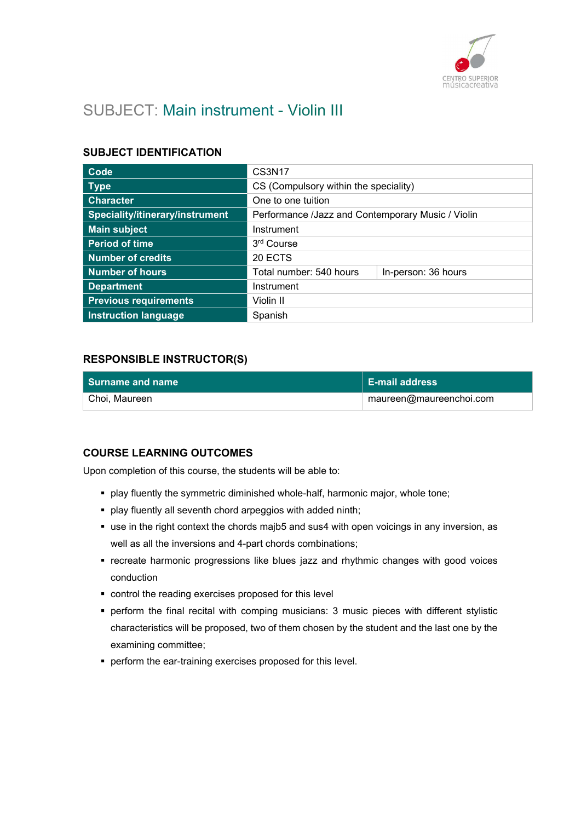

# SUBJECT: Main instrument - Violin III

## SUBJECT IDENTIFICATION

| Code                            | <b>CS3N17</b>                                     |                     |
|---------------------------------|---------------------------------------------------|---------------------|
| <b>Type</b>                     | CS (Compulsory within the speciality)             |                     |
| <b>Character</b>                | One to one tuition                                |                     |
| Speciality/itinerary/instrument | Performance /Jazz and Contemporary Music / Violin |                     |
| <b>Main subject</b>             | Instrument                                        |                     |
| <b>Period of time</b>           | 3rd Course                                        |                     |
| <b>Number of credits</b>        | 20 ECTS                                           |                     |
| <b>Number of hours</b>          | Total number: 540 hours                           | In-person: 36 hours |
| <b>Department</b>               | Instrument                                        |                     |
| <b>Previous requirements</b>    | Violin II                                         |                     |
| <b>Instruction language</b>     | Spanish                                           |                     |

## RESPONSIBLE INSTRUCTOR(S)

| l Surname and name | $\mathsf I$ E-mail address |
|--------------------|----------------------------|
| Choi, Maureen      | maureen@maureenchoi.com    |

#### COURSE LEARNING OUTCOMES

Upon completion of this course, the students will be able to:

- play fluently the symmetric diminished whole-half, harmonic major, whole tone;
- play fluently all seventh chord arpeggios with added ninth;
- use in the right context the chords majb5 and sus4 with open voicings in any inversion, as well as all the inversions and 4-part chords combinations;
- **recreate harmonic progressions like blues jazz and rhythmic changes with good voices** conduction
- control the reading exercises proposed for this level
- perform the final recital with comping musicians: 3 music pieces with different stylistic characteristics will be proposed, two of them chosen by the student and the last one by the examining committee;
- **•** perform the ear-training exercises proposed for this level.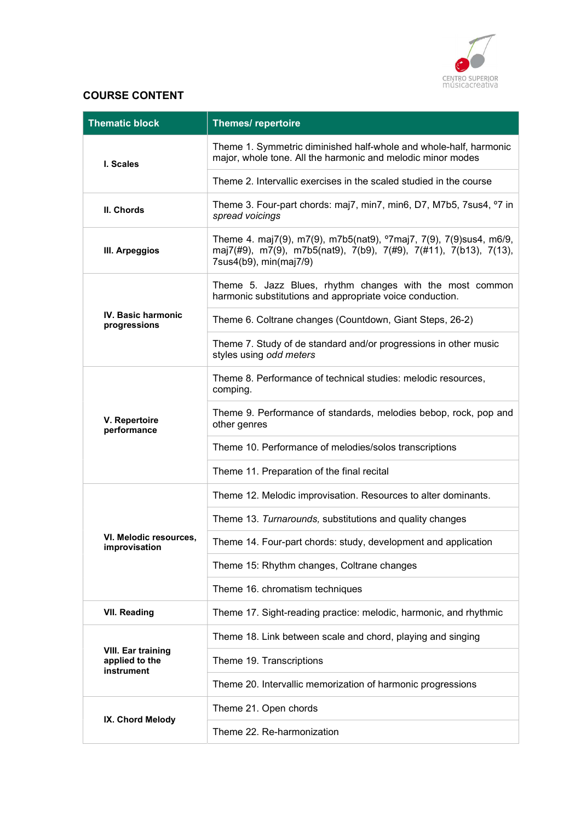

## COURSE CONTENT

| <b>Thematic block</b>                                     | <b>Themes/ repertoire</b>                                                                                                                                                     |
|-----------------------------------------------------------|-------------------------------------------------------------------------------------------------------------------------------------------------------------------------------|
| I. Scales                                                 | Theme 1. Symmetric diminished half-whole and whole-half, harmonic<br>major, whole tone. All the harmonic and melodic minor modes                                              |
|                                                           | Theme 2. Intervallic exercises in the scaled studied in the course                                                                                                            |
| II. Chords                                                | Theme 3. Four-part chords: maj7, min7, min6, D7, M7b5, 7sus4, °7 in<br>spread voicings                                                                                        |
| III. Arpeggios                                            | Theme 4. maj7(9), m7(9), m7b5(nat9), <sup>o</sup> 7maj7, 7(9), 7(9)sus4, m6/9,<br>maj7(#9), m7(9), m7b5(nat9), 7(b9), 7(#9), 7(#11), 7(b13), 7(13),<br>7sus4(b9), min(maj7/9) |
|                                                           | Theme 5. Jazz Blues, rhythm changes with the most common<br>harmonic substitutions and appropriate voice conduction.                                                          |
| <b>IV. Basic harmonic</b><br>progressions                 | Theme 6. Coltrane changes (Countdown, Giant Steps, 26-2)                                                                                                                      |
|                                                           | Theme 7. Study of de standard and/or progressions in other music<br>styles using odd meters                                                                                   |
|                                                           | Theme 8. Performance of technical studies: melodic resources,<br>comping.                                                                                                     |
| V. Repertoire<br>performance                              | Theme 9. Performance of standards, melodies bebop, rock, pop and<br>other genres                                                                                              |
|                                                           | Theme 10. Performance of melodies/solos transcriptions                                                                                                                        |
|                                                           | Theme 11. Preparation of the final recital                                                                                                                                    |
|                                                           | Theme 12. Melodic improvisation. Resources to alter dominants.                                                                                                                |
|                                                           | Theme 13. Turnarounds, substitutions and quality changes                                                                                                                      |
| VI. Melodic resources,<br>improvisation                   | Theme 14. Four-part chords: study, development and application                                                                                                                |
|                                                           | Theme 15: Rhythm changes, Coltrane changes                                                                                                                                    |
|                                                           | Theme 16. chromatism techniques                                                                                                                                               |
| <b>VII. Reading</b>                                       | Theme 17. Sight-reading practice: melodic, harmonic, and rhythmic                                                                                                             |
|                                                           | Theme 18. Link between scale and chord, playing and singing                                                                                                                   |
| <b>VIII. Ear training</b><br>applied to the<br>instrument | Theme 19. Transcriptions                                                                                                                                                      |
|                                                           | Theme 20. Intervallic memorization of harmonic progressions                                                                                                                   |
|                                                           | Theme 21. Open chords                                                                                                                                                         |
| IX. Chord Melody                                          | Theme 22. Re-harmonization                                                                                                                                                    |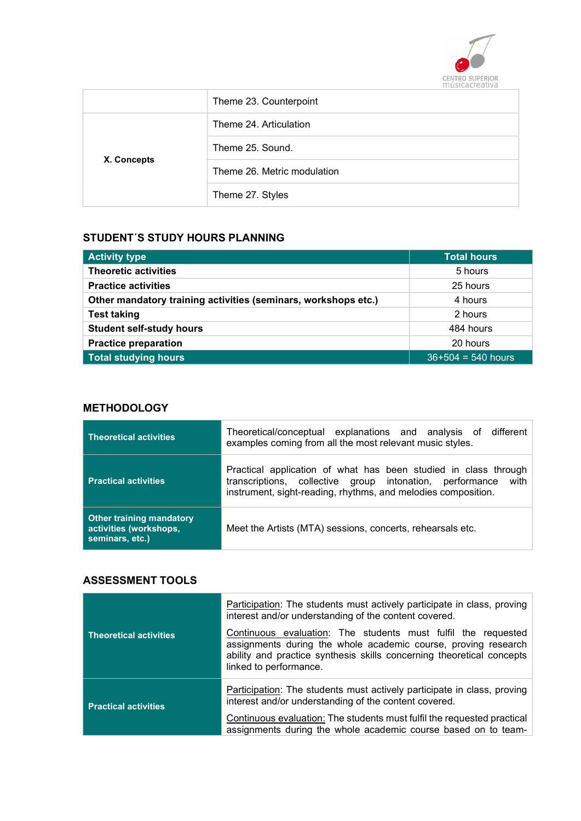

|             | Theme 23. Counterpoint      |
|-------------|-----------------------------|
|             | Theme 24. Articulation      |
|             | Theme 25, Sound.            |
| X. Concepts | Theme 26. Metric modulation |
|             | Theme 27. Styles            |

## STUDENT´S STUDY HOURS PLANNING

| <b>Activity type</b>                                           | <b>Total hours</b>   |
|----------------------------------------------------------------|----------------------|
| <b>Theoretic activities</b>                                    | 5 hours              |
| <b>Practice activities</b>                                     | 25 hours             |
| Other mandatory training activities (seminars, workshops etc.) | 4 hours              |
| <b>Test taking</b>                                             | 2 hours              |
| <b>Student self-study hours</b>                                | 484 hours            |
| <b>Practice preparation</b>                                    | 20 hours             |
| Total studying hours                                           | $36+504 = 540$ hours |

## **METHODOLOGY**

| <b>Theoretical activities</b>                                                | Theoretical/conceptual explanations and analysis of different<br>examples coming from all the most relevant music styles.                                                                         |
|------------------------------------------------------------------------------|---------------------------------------------------------------------------------------------------------------------------------------------------------------------------------------------------|
| <b>Practical activities</b>                                                  | Practical application of what has been studied in class through<br>transcriptions, collective group intonation, performance with<br>instrument, sight-reading, rhythms, and melodies composition. |
| <b>Other training mandatory</b><br>activities (workshops,<br>seminars, etc.) | Meet the Artists (MTA) sessions, concerts, rehearsals etc.                                                                                                                                        |

#### ASSESSMENT TOOLS

| <b>Theoretical activities</b> | Participation: The students must actively participate in class, proving<br>interest and/or understanding of the content covered.<br>Continuous evaluation: The students must fulfil the requested<br>assignments during the whole academic course, proving research |  |
|-------------------------------|---------------------------------------------------------------------------------------------------------------------------------------------------------------------------------------------------------------------------------------------------------------------|--|
|                               | ability and practice synthesis skills concerning theoretical concepts<br>linked to performance.                                                                                                                                                                     |  |
| <b>Practical activities</b>   | Participation: The students must actively participate in class, proving<br>interest and/or understanding of the content covered.                                                                                                                                    |  |
|                               | Continuous evaluation: The students must fulfil the requested practical<br>assignments during the whole academic course based on to team-                                                                                                                           |  |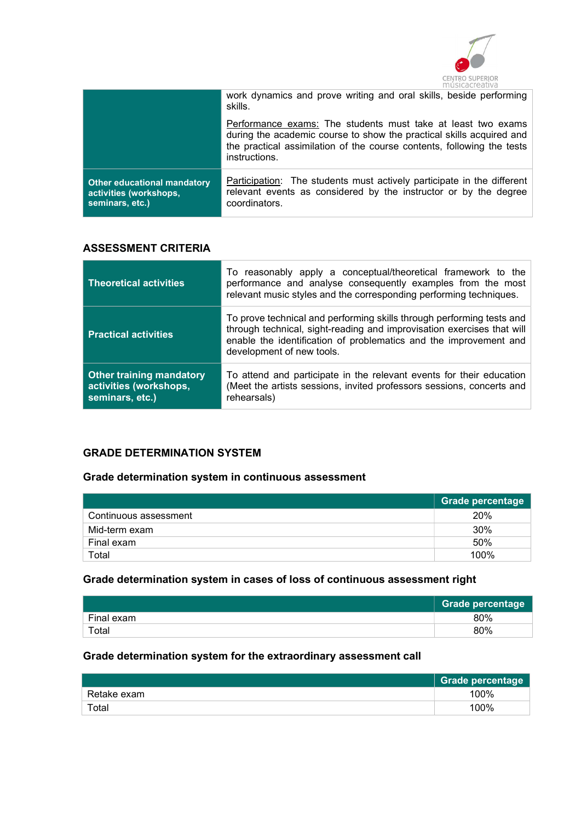

|                                                                                 | work dynamics and prove writing and oral skills, beside performing<br>skills.                                                                                                                                                   |
|---------------------------------------------------------------------------------|---------------------------------------------------------------------------------------------------------------------------------------------------------------------------------------------------------------------------------|
|                                                                                 | Performance exams: The students must take at least two exams<br>during the academic course to show the practical skills acquired and<br>the practical assimilation of the course contents, following the tests<br>instructions. |
| <b>Other educational mandatory</b><br>activities (workshops,<br>seminars, etc.) | <b>Participation:</b> The students must actively participate in the different<br>relevant events as considered by the instructor or by the degree<br>coordinators.                                                              |

## ASSESSMENT CRITERIA

| <b>Theoretical activities</b>                                                | To reasonably apply a conceptual/theoretical framework to the<br>performance and analyse consequently examples from the most<br>relevant music styles and the corresponding performing techniques.                                                |
|------------------------------------------------------------------------------|---------------------------------------------------------------------------------------------------------------------------------------------------------------------------------------------------------------------------------------------------|
| <b>Practical activities</b>                                                  | To prove technical and performing skills through performing tests and<br>through technical, sight-reading and improvisation exercises that will<br>enable the identification of problematics and the improvement and<br>development of new tools. |
| <b>Other training mandatory</b><br>activities (workshops,<br>seminars, etc.) | To attend and participate in the relevant events for their education<br>(Meet the artists sessions, invited professors sessions, concerts and<br>rehearsals)                                                                                      |

## GRADE DETERMINATION SYSTEM

## Grade determination system in continuous assessment

|                       | Grade percentage |
|-----------------------|------------------|
| Continuous assessment | 20%              |
| Mid-term exam         | 30%              |
| Final exam            | 50%              |
| Total                 | 100%             |

## Grade determination system in cases of loss of continuous assessment right

|            | <b>Grade percentage</b> |
|------------|-------------------------|
| Final exam | 80%                     |
| Total      | 80%                     |

## Grade determination system for the extraordinary assessment call

|             | Grade percentage |
|-------------|------------------|
| Retake exam | 100%             |
| Total       | 100%             |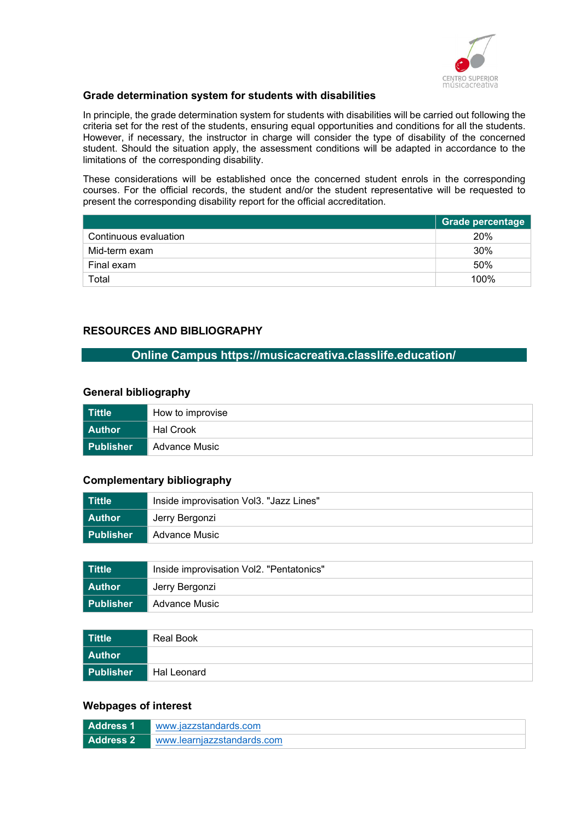

## Grade determination system for students with disabilities

In principle, the grade determination system for students with disabilities will be carried out following the criteria set for the rest of the students, ensuring equal opportunities and conditions for all the students. However, if necessary, the instructor in charge will consider the type of disability of the concerned student. Should the situation apply, the assessment conditions will be adapted in accordance to the limitations of the corresponding disability.

These considerations will be established once the concerned student enrols in the corresponding courses. For the official records, the student and/or the student representative will be requested to present the corresponding disability report for the official accreditation.

|                       | <b>Grade percentage</b> |
|-----------------------|-------------------------|
| Continuous evaluation | 20%                     |
| Mid-term exam         | 30%                     |
| Final exam            | 50%                     |
| Total                 | 100%                    |

## RESOURCES AND BIBLIOGRAPHY

### Online Campus https://musicacreativa.classlife.education/

#### General bibliography

| l Tittle         | How to improvise |  |
|------------------|------------------|--|
| l Author         | Hal Crook        |  |
| <b>Publisher</b> | Advance Music    |  |

#### Complementary bibliography

| ∣ Tittle    | Inside improvisation Vol3. "Jazz Lines" |  |
|-------------|-----------------------------------------|--|
| Author      | Jerry Bergonzi                          |  |
| ∣ Publisher | Advance Music                           |  |

| ∣ Tittle  | Inside improvisation Vol2. "Pentatonics" |  |
|-----------|------------------------------------------|--|
| Author    | Jerry Bergonzi                           |  |
| Publisher | Advance Music                            |  |

| Tittle        | Real Book   |
|---------------|-------------|
| <b>Author</b> |             |
| Publisher     | Hal Leonard |

#### Webpages of interest

| Address 1 | www.jazzstandards.com      |
|-----------|----------------------------|
| Address 2 | www.learniazzstandards.com |